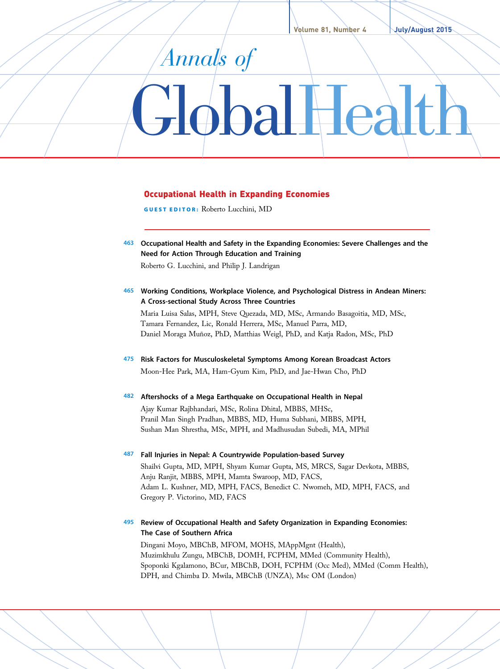# Annals of GlobalHealth

## Occupational Health in Expanding Economies

GUEST EDITOR: Roberto Lucchini, MD

463 Occupational Health and Safety in the Expanding Economies: Severe Challenges and the Need for Action Through Education and Training

Roberto G. Lucchini, and Philip J. Landrigan

465 Working Conditions, Workplace Violence, and Psychological Distress in Andean Miners: A Cross-sectional Study Across Three Countries

Maria Luisa Salas, MPH, Steve Quezada, MD, MSc, Armando Basagoitia, MD, MSc, Tamara Fernandez, Lic, Ronald Herrera, MSc, Manuel Parra, MD, Daniel Moraga Muñoz, PhD, Matthias Weigl, PhD, and Katja Radon, MSc, PhD

475 Risk Factors for Musculoskeletal Symptoms Among Korean Broadcast Actors Moon-Hee Park, MA, Ham-Gyum Kim, PhD, and Jae-Hwan Cho, PhD

### 482 Aftershocks of a Mega Earthquake on Occupational Health in Nepal

Ajay Kumar Rajbhandari, MSc, Rolina Dhital, MBBS, MHSc, Pranil Man Singh Pradhan, MBBS, MD, Huma Subhani, MBBS, MPH, Sushan Man Shrestha, MSc, MPH, and Madhusudan Subedi, MA, MPhil

487 Fall Injuries in Nepal: A Countrywide Population-based Survey Shailvi Gupta, MD, MPH, Shyam Kumar Gupta, MS, MRCS, Sagar Devkota, MBBS, Anju Ranjit, MBBS, MPH, Mamta Swaroop, MD, FACS, Adam L. Kushner, MD, MPH, FACS, Benedict C. Nwomeh, MD, MPH, FACS, and Gregory P. Victorino, MD, FACS

# 495 Review of Occupational Health and Safety Organization in Expanding Economies: The Case of Southern Africa

Dingani Moyo, MBChB, MFOM, MOHS, MAppMgnt (Health), Muzimkhulu Zungu, MBChB, DOMH, FCPHM, MMed (Community Health), Spoponki Kgalamono, BCur, MBChB, DOH, FCPHM (Occ Med), MMed (Comm Health), DPH, and Chimba D. Mwila, MBChB (UNZA), Msc OM (London)